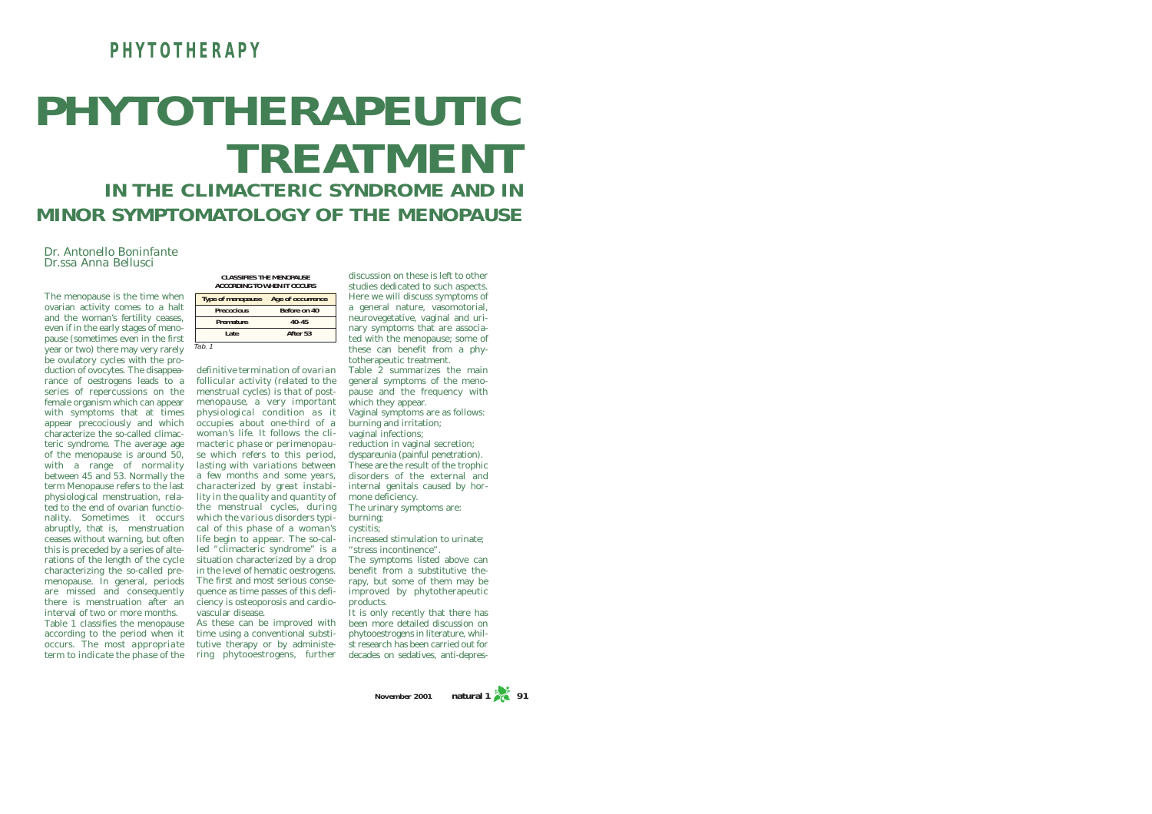## **PHYTOTHERAPY**

# **PHYTOTHERAPEUTIC TREATMENT IN THE CLIMACTERIC SYNDROME AND IN MINOR SYMPTOMATOLOGY OF THE MENOPAUSE**

*Dr. Antonello Boninfante Dr.ssa Anna Bellusci*

The menopause is the time whe ovarian activity comes to a ha and the woman's fertility cease even if in the early stages of menopause (sometimes even in the first  $\alpha$  vear or two) there may very rarely be ovulatory cycles with the production of ovocytes. The disappearance of oestrogens leads to a series of repercussions on the female organism which can appear with symptoms that at times appear precociously and which characterize the so-called climacteric syndrome. The average age of the menopause is around 50, with a range of normality between 45 and 53. Normally the term Menopause refers to the last physiological menstruation, related to the end of ovarian functionality. Sometimes it occurs abruptly, that is, menstruation ceases without warning, but often this is preceded by a series of alterations of the length of the cycle characterizing the so-called premenopause. In general, periods are missed and consequently there is menstruation after an interval of two or more months. Table 1 classifies the menopause according to the period when it occurs. *The most appropriate* tutive therapy or by administe*term to indicate the phase of the* ring phytooestrogens, further

**CLASSIFIES THE MENOPAUSE ACCORDING TO WHEN IT OCCURS**

| ۹n  | <b>Type of menopause</b> | Age of occurrence |
|-----|--------------------------|-------------------|
| ılt | <b>Precocious</b>        | Before on 40      |
| S.  | Premature                | $40 - 45$         |
|     | Late                     | After 53          |
| ł۱  | Tab. 1                   |                   |

*definitive termination of ovarian follicular activity (related to the menstrual cycles) is that of postmenopause, a very important physiological condition as it occupies about one-third of a woman's life. It follows the climacteric phase or perimenopause which refers to this period, lasting with variations between a few months and some years, characterized by great instability in the quality and quantity of the menstrual cycles, during which the various disorders typical of this phase of a woman's life begin to appear.* The so-called "climacteric syndrome" is a situation characterized by a drop in the level of hematic oestrogens. The first and most serious consequence as time passes of this deficiency is osteoporosis and cardiovascular disease.

As these can be improved with time using a conventional substi-

discussion on these is left to other studies dedicated to such aspects. Here we will discuss symptoms of a general nature, vasomotorial, neurovegetative, vaginal and urinary symptoms that are associated with the menopause; some of these can benefit from a phytotherapeutic treatment.

Table 2 summarizes the main general symptoms of the menopause and the frequency with which they appear. Vaginal symptoms are as follows:

burning and irritation; vaginal infections:

reduction in vaginal secretion; dyspareunia (painful penetration). These are the result of the trophic disorders of the external and internal genitals caused by hormone deficiency. The urinary symptoms are:

burning; cystitis;

increased stimulation to urinate; "stress incontinence". The symptoms listed above can benefit from a substitutive therapy, but some of them may be

improved by phytotherapeutic products. It is only recently that there has

been more detailed discussion on phytooestrogens in literature, whilst research has been carried out for decades on sedatives, anti-depres-

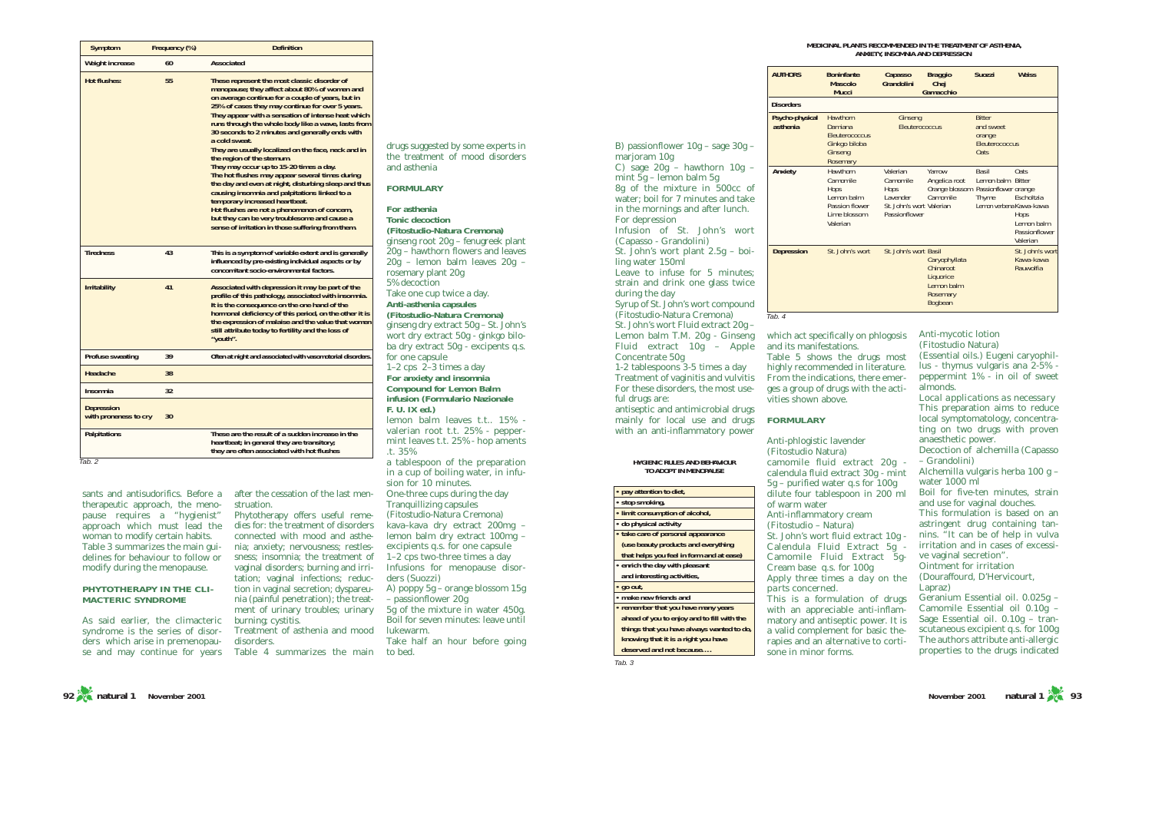#### **MEDICINAL PLANTS RECOMMENDED IN THE TREATMENT OF ASTHENIA, ANXIETY, INSOMNIA AND DEPRESSION**

| <b>AUTHORS</b>              | <b>Boninfante</b><br><b>Mascolo</b><br>Mucci                                             | Capasso<br>Grandolini                                                                  | <b>Braggio</b><br>Chej<br>Gamacchio                                           | <b>Suozzi</b>                                                         | <b>Weiss</b>                                                           |
|-----------------------------|------------------------------------------------------------------------------------------|----------------------------------------------------------------------------------------|-------------------------------------------------------------------------------|-----------------------------------------------------------------------|------------------------------------------------------------------------|
| <b>Disorders</b>            |                                                                                          |                                                                                        |                                                                               |                                                                       |                                                                        |
| Psycho-physical<br>asthenia | Hawthorn<br>Damiana<br>Fleuterococcus<br>Ginkgo biloba<br>Ginseng<br>Rosemary            | Ginseng<br>Eleuterococcus                                                              |                                                                               | <b>Bitter</b><br>and sweet<br>orange<br>Fleuterococcus<br><b>Oats</b> |                                                                        |
| Anxiety                     | Hawthorn<br>Camomile<br>Hops<br>Lemon balm<br>Passion flower<br>Lime blossom<br>Valerian | Valerian<br>Camomile<br>Hops<br>I avender<br>St. John's wort Valerian<br>Passionflower | Yarrow<br>Angelica root<br>Orange blossom Passionflower orange<br>Camomile    | Rasil<br>Lemon balm Bitter<br>Thyme<br>Lemon verbena Kawa-kawa        | Oats.<br>Escholtzia<br>Hops<br>Lemon balm<br>Passionflower<br>Valerian |
| <b>Depression</b>           | St. John's wort                                                                          | St. John's wort Basil                                                                  | Caryophyllata<br>Chinaroot<br>Liquorice<br>I emon balm<br>Rosemary<br>Bogbean |                                                                       | St. John's wort<br>Kawa-kawa<br>Rauwolfia                              |

which act specifically on phlogosis and its manifestations. Table 5 shows the drugs most highly recommended in literature. From the indications, there emerges a group of drugs with the activities shown above.

(Fitostudio Natura) camomile fluid extract 20g calendula fluid extract 30g - mint 5g – purified water q.s for 100g dilute four tablespoon in 200 ml of warm water Anti-inflammatory cream (Fitostudio – Natura) St. John's wort fluid extract 10g - Calendula Fluid Extract 5g - Camomile Fluid Extract 5g-Cream base q.s. for 100g *Apply three times a day on the parts concerned.* This is a formulation of drugs

Anti-mycotic lotion

### **FORMULARY**

Anti-phlogistic lavender

with an appreciable anti-inflammatory and antiseptic power. It is a valid complement for basic therapies and an alternative to cortisone in minor forms.

(Fitostudio Natura) (Essential oils.) Eugeni caryophillus - thymus vulgaris ana 2-5% peppermint 1% - in oil of sweet almonds. *Local applications as necessary*

This preparation aims to reduce local symptomatology, concentrating on two drugs with proven anaesthetic power. Decoction of alchemilla (Capasso

– Grandolini) Alchemilla vulgaris herba 100 g – water 1000 ml

Boil for five-ten minutes, strain and use for vaginal douches. This formulation is based on an astringent drug containing tannins. "It can be of help in vulva irritation and in cases of excessive vaginal secretion".

Ointment for irritation (Douraffourd, D'Hervicourt,

Lapraz)

Geranium Essential oil. 0.025g – Camomile Essential oil 0.10g – Sage Essential oil. 0.10g – transcutaneous excipient q.s. for 100g The authors attribute anti-allergic properties to the drugs indicated

sants and antisudorifics. Before a therapeutic approach, the meno-

**Headache 38 Insomnia 32**

**with proneness to cry 30**

**Depression**

**Symptom Frequency (%) Definition**

**Hot flushes: 55 These represent the most classic disorder of**

**a cold sweat.**

**Tiredness 43 This is a symptom of variable extent and is generally**

**Irritability** 41 **Associated with depression it may be part of the** 

**"youth". Profuse sweating 39 Often at night and associated with vasomotorial disorders.**

**Palpitations Palpitations <b>These are the result of a sudden increase in the** 

**the region of the sternum. They may occur up to 15-20 times a day. The hot flushes may appear several times during the day and even at night, disturbing sleep and thus causing insomnia and palpitations linked to a temporary increased heartbeat. Hot flushes are not a phenomenon of concern, but they can be very troublesome and cause a sense of irritation in those suffering from them.**

**menopause; they affect about 80% of women and on average continue for a couple of years, but in 25% of cases they may continue for over 5 years. They appear with a sensation of intense heat which runs through the whole body like a wave, lasts from 30 seconds to 2 minutes and generally ends with**

**They are usually localized on the face, neck and in** 

**influenced by pre-existing individual aspects or by concomitant socio-environmental factors.**

**profile of this pathology, associated with insomnia. It is the consequence on the one hand of the hormonal deficiency of this period, on the other it is the expression of malaise and the value that women still attribute today to fertility and the loss of** 

**Weight increase 60 Associated** 

delines for behaviour to follow or modify during the menopause. **PHYTOTHERAPY IN THE CLI-MACTERIC SYNDROME**

As said earlier, the climacteric syndrome is the series of disorders which arise in premenopau-



struation.

**heartbeat; in general they are transitory; they are often associated with hot flushes**

> sness; insomnia; the treatment of vaginal disorders; burning and irritation; vaginal infections; reduction in vaginal secretion; dyspareunia (painful penetration); the treatment of urinary troubles; urinary burning; cystitis.

after the cessation of the last men-

Treatment of asthenia and mood disorders.

se and may continue for years Table 4 summarizes the main

drugs suggested by some experts in the treatment of mood disorders and asthenia

#### **FORMULARY**

**For asthenia Tonic decoction (Fitostudio-Natura Cremona)** ginseng root 20g – fenugreek plant 20g – hawthorn flowers and leaves 20g – lemon balm leaves 20g – rosemary plant 20g 5% decoction Take one cup twice a day. **Anti-asthenia capsules (Fitostudio-Natura Cremona)** ginseng dry extract 50g – St. John's wort dry extract 50g - ginkgo biloba dry extract 50g - excipents q.s. for one capsule  $1-2$  cps  $2-3$  times a day **For anxiety and insomnia Compound for Lemon Balm infusion (Formulario Nazionale F. U. IX ed.)** lemon balm leaves t.t.. 15% valerian root t.t. 25% - peppermint leaves t.t. 25% - hop aments

.t. 35% a tablespoon of the preparation Tab. 2 **HYGIENIC RULES AND BEHAVIOUR** in a cup of boiling water, in infusion for 10 minutes. One-three cups during the day Tranquillizing capsules (Fitostudio-Natura Cremona) kava–kava dry extract 200mg – lemon balm dry extract 100mg – excipients q.s. for one capsule 1–2 cps two-three times a day Infusions for menopause disorders (Suozzi) A) poppy 5g – orange blossom 15g – passionflower 20g 5g of the mixture in water 450g. Boil for seven minutes: leave until lukewarm. Take half an hour before going to bed.

during the day Syrup of St. John's wort compound (Fitostudio-Natura Cremona) St. John's wort Fluid extract 20g – Lemon balm T.M. 20g - Ginseng Fluid extract 10g – Apple Concentrate 50g 1-2 tablespoons 3-5 times a day Treatment of vaginitis and vulvitis For these disorders, the most useful drugs are: antiseptic and antimicrobial drugs mainly for local use and drugs with an anti-inflammatory power

B) passionflower 10g – sage 30g –

C) sage  $20g -$  hawthorn  $10g$ mint 5g – lemon balm 5g 8g of the mixture in 500cc of water; boil for 7 minutes and take in the mornings and after lunch.

Infusion of St. John's wort (Capasso - Grandolini) St. John's wort plant 2.5g – boi-

Leave to infuse for 5 minutes; strain and drink one glass twice

marioram 10g

For depression

ling water 150ml

**TO ADOPT IN MENOPAUSE**

| pay attention to diet,                     |
|--------------------------------------------|
| stop smoking,                              |
| · limit consumption of alcohol,            |
| · do physical activity                     |
| · take care of personal appearance         |
| (use beauty products and everything        |
| that helps you feel in form and at ease)   |
| enrich the day with pleasant               |
| and interesting activities,                |
| go out,                                    |
| make new friends and                       |
| remember that you have many years          |
| ahead of you to enjoy and to fill with the |
| things that you have always wanted to do,  |
| knowing that it is a right you have        |
| deserved and not because                   |

Tab. 3